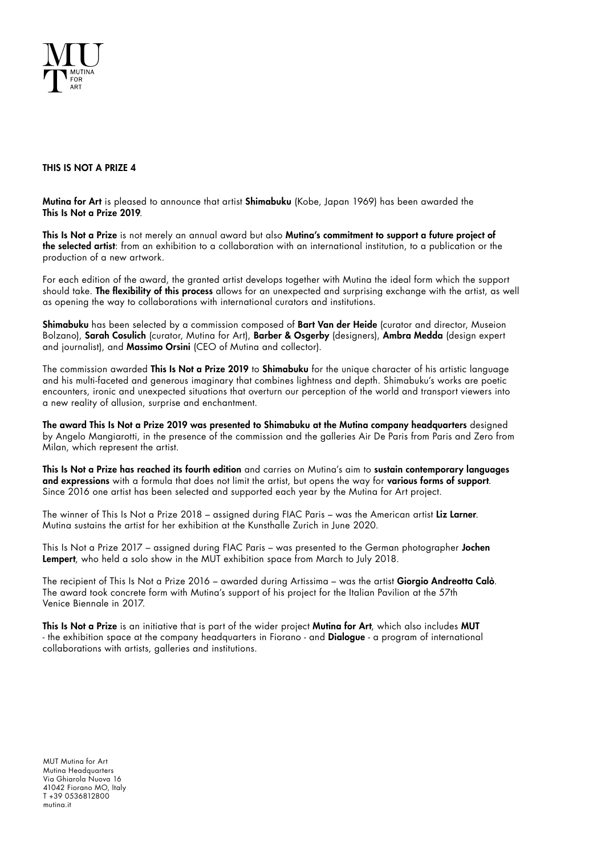

### THIS IS NOT A PRIZE 4

Mutina for Art is pleased to announce that artist Shimabuku (Kobe, Japan 1969) has been awarded the This Is Not a Prize 2019.

This Is Not a Prize is not merely an annual award but also Mutina's commitment to support a future project of the selected artist: from an exhibition to a collaboration with an international institution, to a publication or the production of a new artwork.

For each edition of the award, the granted artist develops together with Mutina the ideal form which the support should take. The flexibility of this process allows for an unexpected and surprising exchange with the artist, as well as opening the way to collaborations with international curators and institutions.

Shimabuku has been selected by a commission composed of Bart Van der Heide (curator and director, Museion Bolzano), Sarah Cosulich (curator, Mutina for Art), Barber & Osgerby (designers), Ambra Medda (design expert and journalist), and Massimo Orsini (CEO of Mutina and collector).

The commission awarded This Is Not a Prize 2019 to Shimabuku for the unique character of his artistic language and his multi-faceted and generous imaginary that combines lightness and depth. Shimabuku's works are poetic encounters, ironic and unexpected situations that overturn our perception of the world and transport viewers into a new reality of allusion, surprise and enchantment.

The award This Is Not a Prize 2019 was presented to Shimabuku at the Mutina company headquarters designed by Angelo Mangiarotti, in the presence of the commission and the galleries Air De Paris from Paris and Zero from Milan, which represent the artist.

This Is Not a Prize has reached its fourth edition and carries on Mutina's aim to sustain contemporary languages and expressions with a formula that does not limit the artist, but opens the way for various forms of support. Since 2016 one artist has been selected and supported each year by the Mutina for Art project.

The winner of This Is Not a Prize 2018 – assigned during FIAC Paris – was the American artist Liz Larner. Mutina sustains the artist for her exhibition at the Kunsthalle Zurich in June 2020.

This Is Not a Prize 2017 - assigned during FIAC Paris - was presented to the German photographer Jochen Lempert, who held a solo show in the MUT exhibition space from March to July 2018.

The recipient of This Is Not a Prize 2016 – awarded during Artissima – was the artist Giorgio Andreotta Calò. The award took concrete form with Mutina's support of his project for the Italian Pavilion at the 57th Venice Biennale in 2017.

This Is Not a Prize is an initiative that is part of the wider project Mutina for Art, which also includes MUT - the exhibition space at the company headquarters in Fiorano - and **Dialogue** - a program of international collaborations with artists, galleries and institutions.